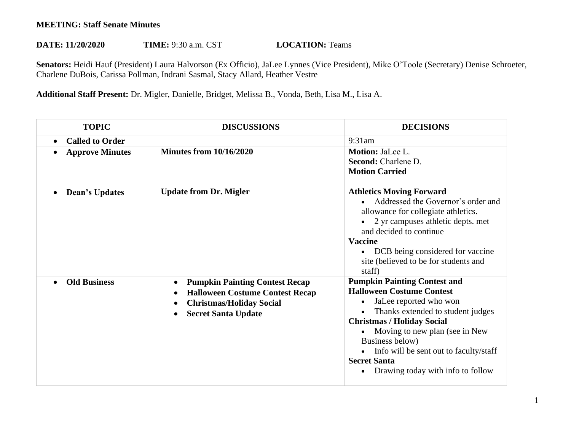## **MEETING: Staff Senate Minutes**

## **DATE: 11/20/2020 TIME:** 9:30 a.m. CST **LOCATION:** Teams

**Senators:** Heidi Hauf (President) Laura Halvorson (Ex Officio), JaLee Lynnes (Vice President), Mike O'Toole (Secretary) Denise Schroeter, Charlene DuBois, Carissa Pollman, Indrani Sasmal, Stacy Allard, Heather Vestre

**Additional Staff Present:** Dr. Migler, Danielle, Bridget, Melissa B., Vonda, Beth, Lisa M., Lisa A.

| <b>TOPIC</b>                | <b>DISCUSSIONS</b>                                                                                                                               | <b>DECISIONS</b>                                                                                                                                                                                                                                                                                                                                    |
|-----------------------------|--------------------------------------------------------------------------------------------------------------------------------------------------|-----------------------------------------------------------------------------------------------------------------------------------------------------------------------------------------------------------------------------------------------------------------------------------------------------------------------------------------------------|
| <b>Called to Order</b>      |                                                                                                                                                  | $9:31$ am                                                                                                                                                                                                                                                                                                                                           |
| <b>Approve Minutes</b>      | <b>Minutes from 10/16/2020</b>                                                                                                                   | Motion: JaLee L.<br><b>Second:</b> Charlene D.<br><b>Motion Carried</b>                                                                                                                                                                                                                                                                             |
| Dean's Updates<br>$\bullet$ | <b>Update from Dr. Migler</b>                                                                                                                    | <b>Athletics Moving Forward</b><br>Addressed the Governor's order and<br>allowance for collegiate athletics.<br>2 yr campuses athletic depts. met<br>and decided to continue<br><b>Vaccine</b><br>DCB being considered for vaccine<br>site (believed to be for students and<br>staff)                                                               |
| <b>Old Business</b>         | <b>Pumpkin Painting Contest Recap</b><br><b>Halloween Costume Contest Recap</b><br><b>Christmas/Holiday Social</b><br><b>Secret Santa Update</b> | <b>Pumpkin Painting Contest and</b><br><b>Halloween Costume Contest</b><br>JaLee reported who won<br>$\bullet$<br>Thanks extended to student judges<br><b>Christmas / Holiday Social</b><br>Moving to new plan (see in New<br>Business below)<br>Info will be sent out to faculty/staff<br><b>Secret Santa</b><br>Drawing today with info to follow |